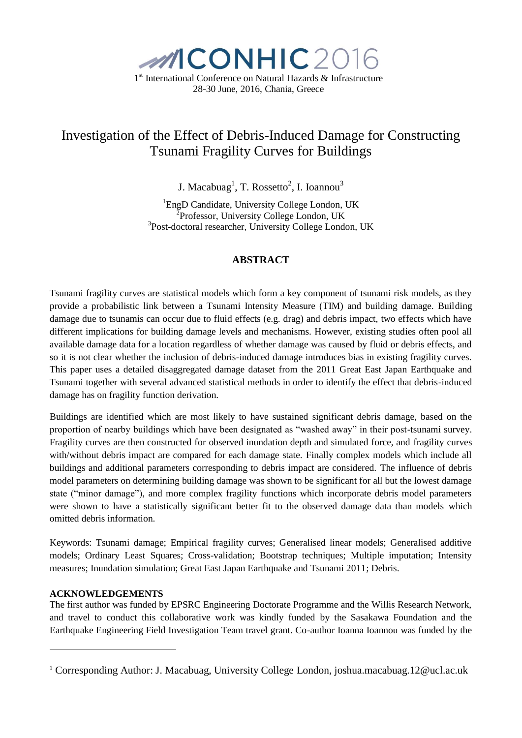

# Investigation of the Effect of Debris-Induced Damage for Constructing Tsunami Fragility Curves for Buildings

J. Macabuag<sup>1</sup>, T. Rossetto<sup>2</sup>, I. Ioannou<sup>3</sup>

<sup>1</sup>EngD Candidate, University College London, UK <sup>2</sup>Professor, University College London, UK 3 Post-doctoral researcher, University College London, UK

### **ABSTRACT**

Tsunami fragility curves are statistical models which form a key component of tsunami risk models, as they provide a probabilistic link between a Tsunami Intensity Measure (TIM) and building damage. Building damage due to tsunamis can occur due to fluid effects (e.g. drag) and debris impact, two effects which have different implications for building damage levels and mechanisms. However, existing studies often pool all available damage data for a location regardless of whether damage was caused by fluid or debris effects, and so it is not clear whether the inclusion of debris-induced damage introduces bias in existing fragility curves. This paper uses a detailed disaggregated damage dataset from the 2011 Great East Japan Earthquake and Tsunami together with several advanced statistical methods in order to identify the effect that debris-induced damage has on fragility function derivation.

Buildings are identified which are most likely to have sustained significant debris damage, based on the proportion of nearby buildings which have been designated as "washed away" in their post-tsunami survey. Fragility curves are then constructed for observed inundation depth and simulated force, and fragility curves with/without debris impact are compared for each damage state. Finally complex models which include all buildings and additional parameters corresponding to debris impact are considered. The influence of debris model parameters on determining building damage was shown to be significant for all but the lowest damage state ("minor damage"), and more complex fragility functions which incorporate debris model parameters were shown to have a statistically significant better fit to the observed damage data than models which omitted debris information.

Keywords: Tsunami damage; Empirical fragility curves; Generalised linear models; Generalised additive models; Ordinary Least Squares; Cross-validation; Bootstrap techniques; Multiple imputation; Intensity measures; Inundation simulation; Great East Japan Earthquake and Tsunami 2011; Debris.

#### **ACKNOWLEDGEMENTS**

1

The first author was funded by EPSRC Engineering Doctorate Programme and the Willis Research Network, and travel to conduct this collaborative work was kindly funded by the Sasakawa Foundation and the Earthquake Engineering Field Investigation Team travel grant. Co-author Ioanna Ioannou was funded by the

<sup>1</sup> Corresponding Author: J. Macabuag, University College London, joshua.macabuag.12@ucl.ac.uk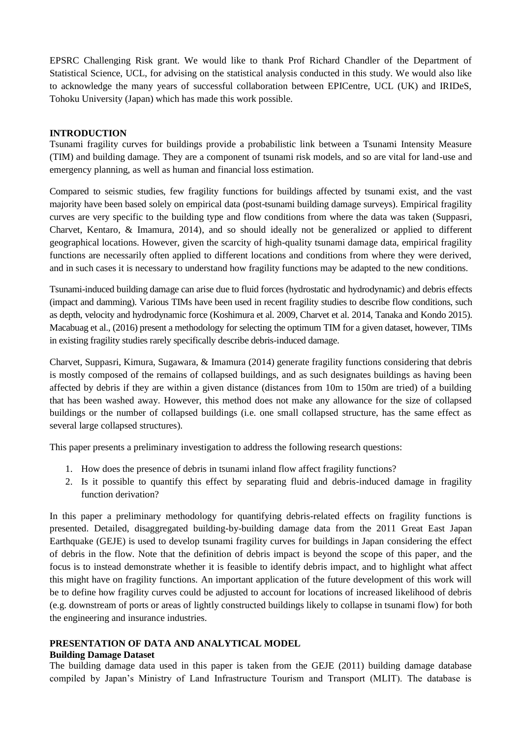EPSRC Challenging Risk grant. We would like to thank Prof Richard Chandler of the Department of Statistical Science, UCL, for advising on the statistical analysis conducted in this study. We would also like to acknowledge the many years of successful collaboration between EPICentre, UCL (UK) and IRIDeS, Tohoku University (Japan) which has made this work possible.

#### **INTRODUCTION**

Tsunami fragility curves for buildings provide a probabilistic link between a Tsunami Intensity Measure (TIM) and building damage. They are a component of tsunami risk models, and so are vital for land-use and emergency planning, as well as human and financial loss estimation.

Compared to seismic studies, few fragility functions for buildings affected by tsunami exist, and the vast majority have been based solely on empirical data (post-tsunami building damage surveys). Empirical fragility curves are very specific to the building type and flow conditions from where the data was taken (Suppasri, Charvet, Kentaro, & Imamura, 2014), and so should ideally not be generalized or applied to different geographical locations. However, given the scarcity of high-quality tsunami damage data, empirical fragility functions are necessarily often applied to different locations and conditions from where they were derived, and in such cases it is necessary to understand how fragility functions may be adapted to the new conditions.

Tsunami-induced building damage can arise due to fluid forces (hydrostatic and hydrodynamic) and debris effects (impact and damming). Various TIMs have been used in recent fragility studies to describe flow conditions, such as depth, velocity and hydrodynamic force (Koshimura et al. 2009, Charvet et al. 2014, Tanaka and Kondo 2015). Macabuag et al., (2016) present a methodology for selecting the optimum TIM for a given dataset, however, TIMs in existing fragility studies rarely specifically describe debris-induced damage.

Charvet, Suppasri, Kimura, Sugawara, & Imamura (2014) generate fragility functions considering that debris is mostly composed of the remains of collapsed buildings, and as such designates buildings as having been affected by debris if they are within a given distance (distances from 10m to 150m are tried) of a building that has been washed away. However, this method does not make any allowance for the size of collapsed buildings or the number of collapsed buildings (i.e. one small collapsed structure, has the same effect as several large collapsed structures).

This paper presents a preliminary investigation to address the following research questions:

- 1. How does the presence of debris in tsunami inland flow affect fragility functions?
- 2. Is it possible to quantify this effect by separating fluid and debris-induced damage in fragility function derivation?

In this paper a preliminary methodology for quantifying debris-related effects on fragility functions is presented. Detailed, disaggregated building-by-building damage data from the 2011 Great East Japan Earthquake (GEJE) is used to develop tsunami fragility curves for buildings in Japan considering the effect of debris in the flow. Note that the definition of debris impact is beyond the scope of this paper, and the focus is to instead demonstrate whether it is feasible to identify debris impact, and to highlight what affect this might have on fragility functions. An important application of the future development of this work will be to define how fragility curves could be adjusted to account for locations of increased likelihood of debris (e.g. downstream of ports or areas of lightly constructed buildings likely to collapse in tsunami flow) for both the engineering and insurance industries.

## **PRESENTATION OF DATA AND ANALYTICAL MODEL**

#### **Building Damage Dataset**

The building damage data used in this paper is taken from the GEJE (2011) building damage database compiled by Japan's Ministry of Land Infrastructure Tourism and Transport (MLIT). The database is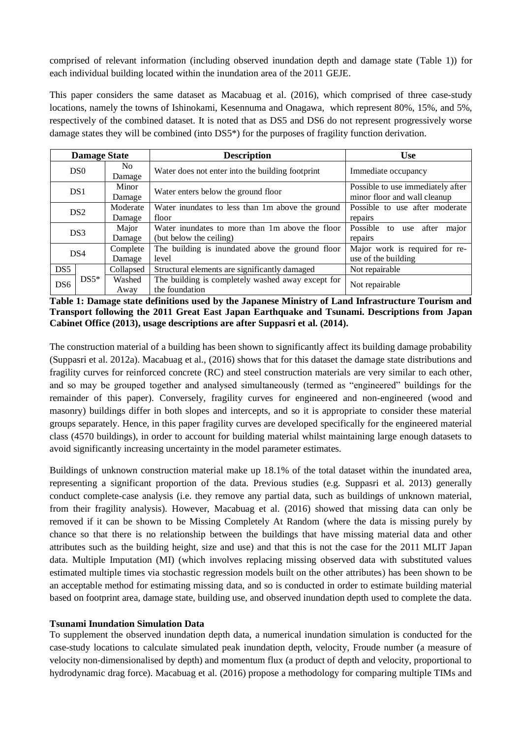comprised of relevant information (including observed inundation depth and damage state [\(Table 1\)](#page-2-0)) for each individual building located within the inundation area of the 2011 GEJE.

This paper considers the same dataset as Macabuag et al. (2016), which comprised of three case-study locations, namely the towns of Ishinokami, Kesennuma and Onagawa, which represent 80%, 15%, and 5%, respectively of the combined dataset. It is noted that as DS5 and DS6 do not represent progressively worse damage states they will be combined (into DS5\*) for the purposes of fragility function derivation.

| <b>Damage State</b> |                 |                    | <b>Description</b>                                                         | <b>Use</b>                                                        |  |  |
|---------------------|-----------------|--------------------|----------------------------------------------------------------------------|-------------------------------------------------------------------|--|--|
|                     | D <sub>S0</sub> | No.<br>Damage      | Water does not enter into the building footprint                           | Immediate occupancy                                               |  |  |
|                     | DS <sub>1</sub> | Minor<br>Damage    | Water enters below the ground floor                                        | Possible to use immediately after<br>minor floor and wall cleanup |  |  |
|                     | DS <sub>2</sub> | Moderate<br>Damage | Water inundates to less than 1 m above the ground<br>floor                 | Possible to use after moderate<br>repairs                         |  |  |
| DS3                 |                 | Major<br>Damage    | Water inundates to more than 1m above the floor<br>(but below the ceiling) | Possible to<br>after<br>use<br>major<br>repairs                   |  |  |
|                     | DS4             | Complete<br>Damage | The building is inundated above the ground floor<br>level                  | Major work is required for re-<br>use of the building             |  |  |
| DS <sub>5</sub>     |                 | Collapsed          | Structural elements are significantly damaged                              | Not repairable                                                    |  |  |
| DS <sub>6</sub>     | $DS5*$          | Washed<br>Away     | The building is completely washed away except for<br>the foundation        | Not repairable                                                    |  |  |

<span id="page-2-0"></span>**Table 1: Damage state definitions used by the Japanese Ministry of Land Infrastructure Tourism and Transport following the 2011 Great East Japan Earthquake and Tsunami. Descriptions from Japan Cabinet Office (2013), usage descriptions are after Suppasri et al. (2014).**

The construction material of a building has been shown to significantly affect its building damage probability (Suppasri et al. 2012a). Macabuag et al., (2016) shows that for this dataset the damage state distributions and fragility curves for reinforced concrete (RC) and steel construction materials are very similar to each other, and so may be grouped together and analysed simultaneously (termed as "engineered" buildings for the remainder of this paper). Conversely, fragility curves for engineered and non-engineered (wood and masonry) buildings differ in both slopes and intercepts, and so it is appropriate to consider these material groups separately. Hence, in this paper fragility curves are developed specifically for the engineered material class (4570 buildings), in order to account for building material whilst maintaining large enough datasets to avoid significantly increasing uncertainty in the model parameter estimates.

Buildings of unknown construction material make up 18.1% of the total dataset within the inundated area, representing a significant proportion of the data. Previous studies (e.g. Suppasri et al. 2013) generally conduct complete-case analysis (i.e. they remove any partial data, such as buildings of unknown material, from their fragility analysis). However, Macabuag et al. (2016) showed that missing data can only be removed if it can be shown to be Missing Completely At Random (where the data is missing purely by chance so that there is no relationship between the buildings that have missing material data and other attributes such as the building height, size and use) and that this is not the case for the 2011 MLIT Japan data. Multiple Imputation (MI) (which involves replacing missing observed data with substituted values estimated multiple times via stochastic regression models built on the other attributes) has been shown to be an acceptable method for estimating missing data, and so is conducted in order to estimate building material based on footprint area, damage state, building use, and observed inundation depth used to complete the data.

#### **Tsunami Inundation Simulation Data**

To supplement the observed inundation depth data, a numerical inundation simulation is conducted for the case-study locations to calculate simulated peak inundation depth, velocity, Froude number (a measure of velocity non-dimensionalised by depth) and momentum flux (a product of depth and velocity, proportional to hydrodynamic drag force). Macabuag et al. (2016) propose a methodology for comparing multiple TIMs and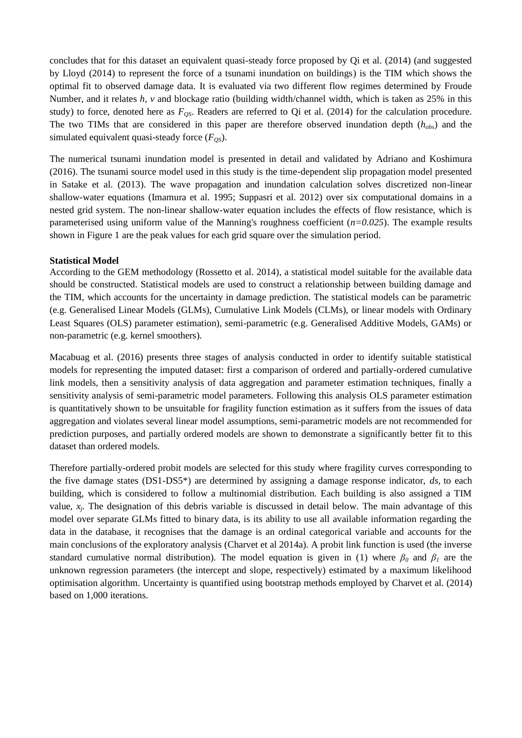concludes that for this dataset an equivalent quasi-steady force proposed by Qi et al. (2014) (and suggested by Lloyd (2014) to represent the force of a tsunami inundation on buildings) is the TIM which shows the optimal fit to observed damage data. It is evaluated via two different flow regimes determined by Froude Number, and it relates *h, v* and blockage ratio (building width/channel width, which is taken as 25% in this study) to force, denoted here as  $F<sub>OS</sub>$ . Readers are referred to Qi et al. (2014) for the calculation procedure. The two TIMs that are considered in this paper are therefore observed inundation depth (*hobs*) and the simulated equivalent quasi-steady force  $(F_{OS})$ .

The numerical tsunami inundation model is presented in detail and validated by Adriano and Koshimura (2016). The tsunami source model used in this study is the time-dependent slip propagation model presented in Satake et al. (2013). The wave propagation and inundation calculation solves discretized non-linear shallow-water equations (Imamura et al. 1995; Suppasri et al. 2012) over six computational domains in a nested grid system. The non-linear shallow-water equation includes the effects of flow resistance, which is parameterised using uniform value of the Manning's roughness coefficient (*n=0.025*). The example results shown in [Figure 1](#page-5-0) are the peak values for each grid square over the simulation period.

#### **Statistical Model**

According to the GEM methodology (Rossetto et al. 2014), a statistical model suitable for the available data should be constructed. Statistical models are used to construct a relationship between building damage and the TIM, which accounts for the uncertainty in damage prediction. The statistical models can be parametric (e.g. Generalised Linear Models (GLMs), Cumulative Link Models (CLMs), or linear models with Ordinary Least Squares (OLS) parameter estimation), semi-parametric (e.g. Generalised Additive Models, GAMs) or non-parametric (e.g. kernel smoothers).

Macabuag et al. (2016) presents three stages of analysis conducted in order to identify suitable statistical models for representing the imputed dataset: first a comparison of ordered and partially-ordered cumulative link models, then a sensitivity analysis of data aggregation and parameter estimation techniques, finally a sensitivity analysis of semi-parametric model parameters. Following this analysis OLS parameter estimation is quantitatively shown to be unsuitable for fragility function estimation as it suffers from the issues of data aggregation and violates several linear model assumptions, semi-parametric models are not recommended for prediction purposes, and partially ordered models are shown to demonstrate a significantly better fit to this dataset than ordered models.

Therefore partially-ordered probit models are selected for this study where fragility curves corresponding to the five damage states (DS1-DS5\*) are determined by assigning a damage response indicator, *ds*, to each building, which is considered to follow a multinomial distribution. Each building is also assigned a TIM value, *x<sub>j</sub>*. The designation of this debris variable is discussed in detail below. The main advantage of this model over separate GLMs fitted to binary data, is its ability to use all available information regarding the data in the database, it recognises that the damage is an ordinal categorical variable and accounts for the main conclusions of the exploratory analysis (Charvet et al 2014a). A probit link function is used (the inverse standard cumulative normal distribution). The model equation is given in [\(1\)](#page-4-0) where  $\beta_0$  and  $\beta_1$  are the unknown regression parameters (the intercept and slope, respectively) estimated by a maximum likelihood optimisation algorithm. Uncertainty is quantified using bootstrap methods employed by Charvet et al. (2014) based on 1,000 iterations.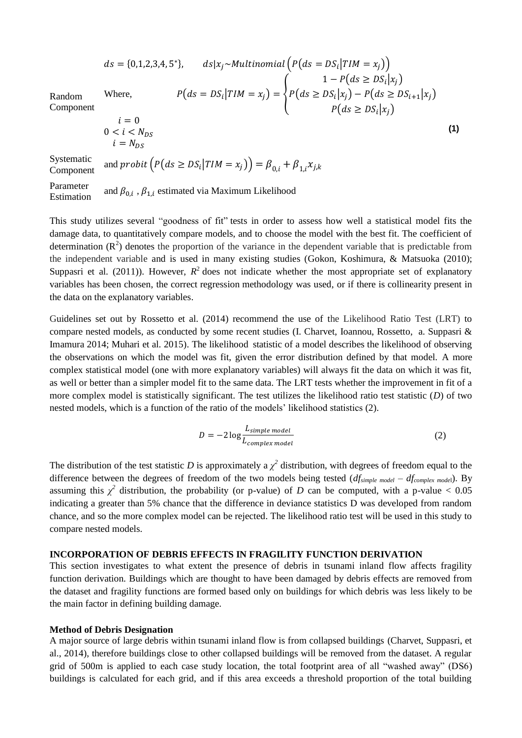$$
ds = \{0,1,2,3,4,5^*\}, \qquad ds|x_j \sim Multinomial\left(P(ds = DS_i | TIM = x_j)\right)
$$
  
\nWhere, 
$$
P(ds = DS_i | TIM = x_j) = \begin{cases} 1 - P(ds \ge DS_i | x_j) \\ P(ds \ge DS_i | x_j) - P(ds \ge DS_{i+1} | x_j) \\ P(ds \ge DS_i | x_j) \end{cases}
$$
  
\n $i = 0$   
\n $0 < i < N_{DS}$  (1)

Random Component

<span id="page-4-2"></span><span id="page-4-0"></span>
$$
i = 0
$$
  

$$
0 < i < N_{DS}
$$
  

$$
i = N_{DS}
$$

Systematic

Component and probit  $(P(ds \geq DS_i | TIM = x_j)) = \beta_{0,i} + \beta_{1,i} x_{j,k}$ 

Parameter **Estimation** and  $\beta_{0,i}$ ,  $\beta_{1,i}$  estimated via Maximum Likelihood

This study utilizes several "goodness of fit" tests in order to assess how well a statistical model fits the damage data, to quantitatively compare models, and to choose the model with the best fit. The coefficient of determination  $(R^2)$  denotes the proportion of the variance in the dependent variable that is predictable from the independent variable and is used in many existing studies (Gokon, Koshimura, & Matsuoka (2010); Suppasri et al. (2011)). However,  $R^2$  does not indicate whether the most appropriate set of explanatory variables has been chosen, the correct regression methodology was used, or if there is collinearity present in the data on the explanatory variables.

Guidelines set out by Rossetto et al. (2014) recommend the use of the Likelihood Ratio Test (LRT) to compare nested models, as conducted by some recent studies (I. Charvet, Ioannou, Rossetto, a. Suppasri & Imamura 2014; Muhari et al. 2015). The likelihood statistic of a model describes the likelihood of observing the observations on which the model was fit, given the error distribution defined by that model. A more complex statistical model (one with more explanatory variables) will always fit the data on which it was fit, as well or better than a simpler model fit to the same data. The LRT tests whether the improvement in fit of a more complex model is statistically significant. The test utilizes the likelihood ratio test statistic (*D*) of two nested models, which is a function of the ratio of the models' likelihood statistics [\(2\)](#page-4-1).

<span id="page-4-1"></span>
$$
D = -2\log \frac{L_{simple\ model}}{L_{complex\ model}}
$$
 (2)

The distribution of the test statistic *D* is approximately a  $\chi^2$  distribution, with degrees of freedom equal to the difference between the degrees of freedom of the two models being tested (*dfsimple model – dfcomplex mode*l). By assuming this  $\chi^2$  distribution, the probability (or p-value) of *D* can be computed, with a p-value < 0.05 indicating a greater than 5% chance that the difference in deviance statistics D was developed from random chance, and so the more complex model can be rejected. The likelihood ratio test will be used in this study to compare nested models.

#### **INCORPORATION OF DEBRIS EFFECTS IN FRAGILITY FUNCTION DERIVATION**

This section investigates to what extent the presence of debris in tsunami inland flow affects fragility function derivation. Buildings which are thought to have been damaged by debris effects are removed from the dataset and fragility functions are formed based only on buildings for which debris was less likely to be the main factor in defining building damage.

#### **Method of Debris Designation**

A major source of large debris within tsunami inland flow is from collapsed buildings (Charvet, Suppasri, et al., 2014), therefore buildings close to other collapsed buildings will be removed from the dataset. A regular grid of 500m is applied to each case study location, the total footprint area of all "washed away" (DS6) buildings is calculated for each grid, and if this area exceeds a threshold proportion of the total building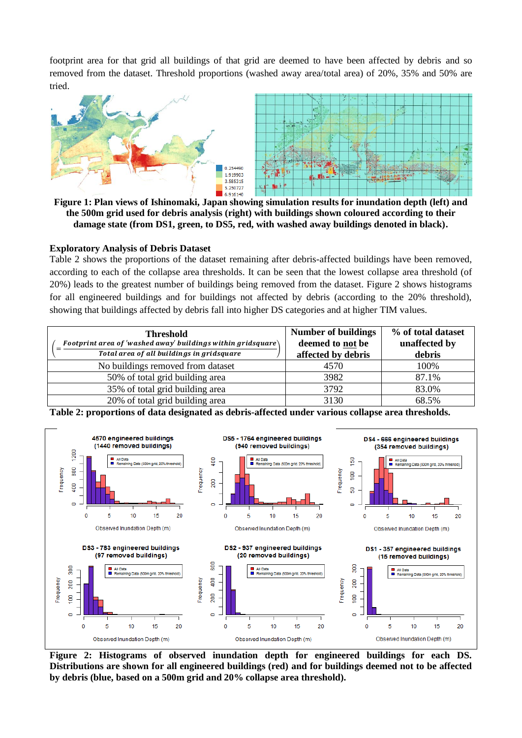footprint area for that grid all buildings of that grid are deemed to have been affected by debris and so removed from the dataset. Threshold proportions (washed away area/total area) of 20%, 35% and 50% are tried.



<span id="page-5-0"></span>**Figure 1: Plan views of Ishinomaki, Japan showing simulation results for inundation depth (left) and the 500m grid used for debris analysis (right) with buildings shown coloured according to their damage state (from DS1, green, to DS5, red, with washed away buildings denoted in black).**

#### **Exploratory Analysis of Debris Dataset**

[Table 2](#page-5-1) shows the proportions of the dataset remaining after debris-affected buildings have been removed, according to each of the collapse area thresholds. It can be seen that the lowest collapse area threshold (of 20%) leads to the greatest number of buildings being removed from the dataset. [Figure 2](#page-5-2) shows histograms for all engineered buildings and for buildings not affected by debris (according to the 20% threshold), showing that buildings affected by debris fall into higher DS categories and at higher TIM values.

| <b>Threshold</b><br>Footprint area of 'washed away' buildings within gridsquare $\setminus$<br>Total area of all buildings in gridsquare | <b>Number of buildings</b><br>deemed to not be<br>affected by debris | % of total dataset<br>unaffected by<br>debris |
|------------------------------------------------------------------------------------------------------------------------------------------|----------------------------------------------------------------------|-----------------------------------------------|
| No buildings removed from dataset                                                                                                        | 4570                                                                 | 100\%                                         |
| 50% of total grid building area                                                                                                          | 3982                                                                 | 87.1%                                         |
| 35% of total grid building area                                                                                                          | 3792                                                                 | 83.0%                                         |
| 20% of total grid building area                                                                                                          | 3130                                                                 | 68.5%                                         |



<span id="page-5-1"></span>**Table 2: proportions of data designated as debris-affected under various collapse area thresholds.**

<span id="page-5-2"></span>**Figure 2: Histograms of observed inundation depth for engineered buildings for each DS. Distributions are shown for all engineered buildings (red) and for buildings deemed not to be affected by debris (blue, based on a 500m grid and 20% collapse area threshold).**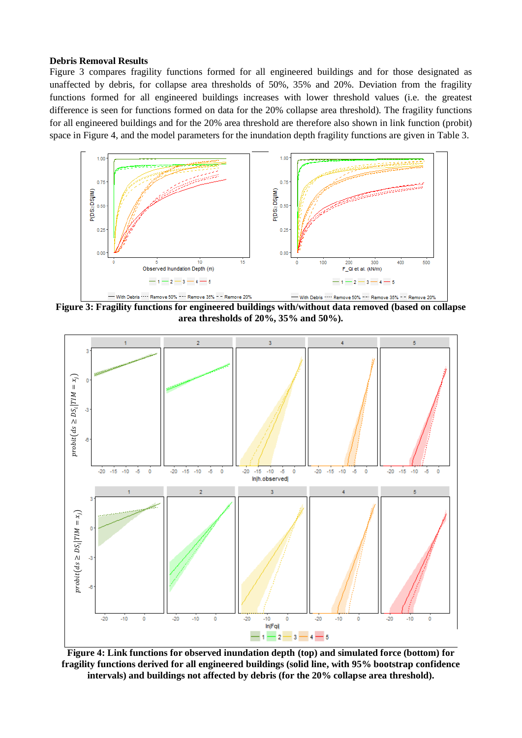#### **Debris Removal Results**

[Figure 3](#page-6-0) compares fragility functions formed for all engineered buildings and for those designated as unaffected by debris, for collapse area thresholds of 50%, 35% and 20%. Deviation from the fragility functions formed for all engineered buildings increases with lower threshold values (i.e. the greatest difference is seen for functions formed on data for the 20% collapse area threshold). The fragility functions for all engineered buildings and for the 20% area threshold are therefore also shown in link function (probit) space in [Figure 4,](#page-6-1) and the model parameters for the inundation depth fragility functions are given in [Table 3.](#page-7-0)



<span id="page-6-0"></span>**Figure 3: Fragility functions for engineered buildings with/without data removed (based on collapse area thresholds of 20%, 35% and 50%).**



<span id="page-6-1"></span>**Figure 4: Link functions for observed inundation depth (top) and simulated force (bottom) for fragility functions derived for all engineered buildings (solid line, with 95% bootstrap confidence intervals) and buildings not affected by debris (for the 20% collapse area threshold).**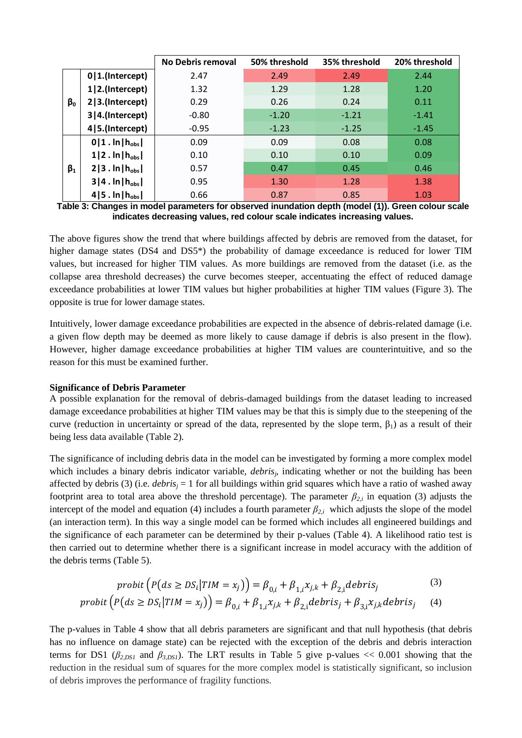|           |                          | <b>No Debris removal</b> | 50% threshold | 35% threshold | 20% threshold |
|-----------|--------------------------|--------------------------|---------------|---------------|---------------|
|           | $0 1.$ (Intercept)       | 2.47                     | 2.49          | 2.49          | 2.44          |
|           | 1 2.(Intercept)          | 1.32                     | 1.29          | 1.28          | 1.20          |
| $\beta_0$ | 2 3.(Intercept)          | 0.29                     | 0.26          | 0.24          | 0.11          |
|           | 3 4.(Intercept)          | $-0.80$                  | $-1.20$       | $-1.21$       | $-1.41$       |
|           | 4   5. (Intercept)       | $-0.95$                  | $-1.23$       | $-1.25$       | $-1.45$       |
|           | $0 1.$ In $ h_{obs} $    | 0.09                     | 0.09          | 0.08          | 0.08          |
|           | $1 2 \cdot \ln h_{obs} $ | 0.10                     | 0.10          | 0.10          | 0.09          |
| $\beta_1$ | $2 3.$ ln   $h_{obs}$    | 0.57                     | 0.47          | 0.45          | 0.46          |
|           | $3 4.$ ln   $h_{obs}$    | 0.95                     | 1.30          | 1.28          | 1.38          |
|           | $4 5.$ In $ h_{obs} $    | 0.66                     | 0.87          | 0.85          | 1.03          |

<span id="page-7-0"></span>**Table 3: Changes in model parameters for observed inundation depth (model [\(1\)\)](#page-4-2). Green colour scale indicates decreasing values, red colour scale indicates increasing values.**

The above figures show the trend that where buildings affected by debris are removed from the dataset, for higher damage states (DS4 and DS5<sup>\*</sup>) the probability of damage exceedance is reduced for lower TIM values, but increased for higher TIM values. As more buildings are removed from the dataset (i.e. as the collapse area threshold decreases) the curve becomes steeper, accentuating the effect of reduced damage exceedance probabilities at lower TIM values but higher probabilities at higher TIM values [\(Figure 3\)](#page-6-0). The opposite is true for lower damage states.

Intuitively, lower damage exceedance probabilities are expected in the absence of debris-related damage (i.e. a given flow depth may be deemed as more likely to cause damage if debris is also present in the flow). However, higher damage exceedance probabilities at higher TIM values are counterintuitive, and so the reason for this must be examined further.

#### **Significance of Debris Parameter**

A possible explanation for the removal of debris-damaged buildings from the dataset leading to increased damage exceedance probabilities at higher TIM values may be that this is simply due to the steepening of the curve (reduction in uncertainty or spread of the data, represented by the slope term,  $\beta_1$ ) as a result of their being less data available [\(Table 2\)](#page-5-1).

The significance of including debris data in the model can be investigated by forming a more complex model which includes a binary debris indicator variable, *debris<sub>j</sub>*, indicating whether or not the building has been affected by debris [\(3\)](#page-7-1) (i.e. *debris<sup>j</sup>* = 1 for all buildings within grid squares which have a ratio of washed away footprint area to total area above the threshold percentage). The parameter  $\beta_{2,i}$  in equation [\(3\)](#page-7-1) adjusts the intercept of the model and equation [\(4\)](#page-7-2) includes a fourth parameter  $\beta_{2,i}$  which adjusts the slope of the model (an interaction term). In this way a single model can be formed which includes all engineered buildings and the significance of each parameter can be determined by their p-values [\(Table 4\)](#page-8-0). A likelihood ratio test is then carried out to determine whether there is a significant increase in model accuracy with the addition of the debris terms [\(Table 5\)](#page-8-1).

<span id="page-7-2"></span><span id="page-7-1"></span>
$$
probit\left(P(ds \ge DS_i | TIM = x_j)\right) = \beta_{0,i} + \beta_{1,i}x_{j,k} + \beta_{2,i}debris_j \tag{3}
$$

$$
probit\left(P(ds \ge D S_i | TIM = x_j)\right) = \beta_{0,i} + \beta_{1,i} x_{j,k} + \beta_{2,i} debris_j + \beta_{3,i} x_{j,k} debris_j \tag{4}
$$

The p-values in [Table 4](#page-8-0) show that all debris parameters are significant and that null hypothesis (that debris has no influence on damage state) can be rejected with the exception of the debris and debris interaction terms for DS1 ( $\beta_{2,DS1}$  and  $\beta_{3,DS1}$ ). The LRT results in [Table 5](#page-8-1) give p-values << 0.001 showing that the reduction in the residual sum of squares for the more complex model is statistically significant, so inclusion of debris improves the performance of fragility functions.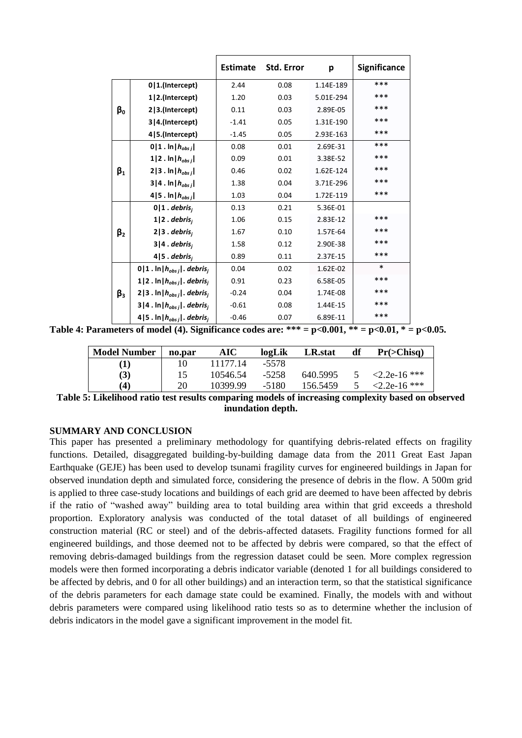|             |                                                | <b>Estimate</b> | Std. Error | р         | <b>Significance</b> |
|-------------|------------------------------------------------|-----------------|------------|-----------|---------------------|
| βο          | $0 1$ .(Intercept)                             | 2.44            | 0.08       | 1.14E-189 | ***                 |
|             | 1 2.(Intercept)                                | 1.20            | 0.03       | 5.01E-294 | ***                 |
|             | 2 3.(Intercept)                                | 0.11            | 0.03       | 2.89E-05  | ***                 |
|             | 3 4.(Intercept)                                | $-1.41$         | 0.05       | 1.31E-190 | ***                 |
|             | 4   5. (Intercept)                             | $-1.45$         | 0.05       | 2.93E-163 | ***                 |
| $\beta_1$   | $0 1$ . $\ln  h_{obs}$ <sub>i</sub>            | 0.08            | 0.01       | 2.69E-31  | ***                 |
|             | $1 2 \t{.} \ln h_{obsj} $                      | 0.09            | 0.01       | 3.38E-52  | ***                 |
|             | $2 3 \cdot \ln h_{obsj} $                      | 0.46            | 0.02       | 1.62E-124 | ***                 |
|             | $3 4 \cdot \ln h_{obsj} $                      | 1.38            | 0.04       | 3.71E-296 | ***                 |
|             | 4   5 . In $ h_{obsj} $                        | 1.03            | 0.04       | 1.72E-119 | ***                 |
|             | $0 1$ . debris <sub>i</sub>                    | 0.13            | 0.21       | 5.36E-01  |                     |
|             | $1 2$ . debris,                                | 1.06            | 0.15       | 2.83E-12  | ***                 |
| $\beta_{2}$ | $2 3$ . debris <sub>i</sub>                    | 1.67            | 0.10       | 1.57E-64  | ***                 |
|             | $3 4$ . debris <sub>i</sub>                    | 1.58            | 0.12       | 2.90E-38  | ***                 |
|             | $4 5$ . debris,                                | 0.89            | 0.11       | 2.37E-15  | ***                 |
|             | $0 1$ . $\ln  h_{obsj} $ . debris <sub>i</sub> | 0.04            | 0.02       | 1.62E-02  | $\ast$              |
|             | 1 2. $\ln h_{obsj} $ . debris <sub>j</sub>     | 0.91            | 0.23       | 6.58E-05  | ***                 |
| $\beta_3$   | 2 3. $\ln h_{obsj} $ . debris <sub>j</sub>     | $-0.24$         | 0.04       | 1.74E-08  | ***                 |
|             | $3 4$ . $\ln  h_{obsj} $ . debris <sub>i</sub> | $-0.61$         | 0.08       | 1.44E-15  | ***                 |
|             | 4   5 . $\ln  h_{obsj} $ . debris <sub>i</sub> | $-0.46$         | 0.07       | 6.89E-11  | ***                 |

<span id="page-8-0"></span>**Table 4: Parameters of model [\(4\)](#page-7-2). Significance codes are: \*\*\* = p<0.001, \*\* = p<0.01, \* = p<0.05.**

| <b>Model Number</b> | no.par | <b>AIC</b> | logLik | LR.stat  | df | Pr( > Chisq)    |
|---------------------|--------|------------|--------|----------|----|-----------------|
| (1)                 |        | 11177.14   | -5578  |          |    |                 |
| (3)                 | 15     | 10546.54   | -5258  | 640.5995 |    | $<$ 2.2e-16 *** |
| $\left( 4 \right)$  | 20     | 10399.99   | -5180  | 156.5459 |    | $<$ 2.2e-16 *** |

<span id="page-8-1"></span>**Table 5: Likelihood ratio test results comparing models of increasing complexity based on observed inundation depth.**

#### **SUMMARY AND CONCLUSION**

This paper has presented a preliminary methodology for quantifying debris-related effects on fragility functions. Detailed, disaggregated building-by-building damage data from the 2011 Great East Japan Earthquake (GEJE) has been used to develop tsunami fragility curves for engineered buildings in Japan for observed inundation depth and simulated force, considering the presence of debris in the flow. A 500m grid is applied to three case-study locations and buildings of each grid are deemed to have been affected by debris if the ratio of "washed away" building area to total building area within that grid exceeds a threshold proportion. Exploratory analysis was conducted of the total dataset of all buildings of engineered construction material (RC or steel) and of the debris-affected datasets. Fragility functions formed for all engineered buildings, and those deemed not to be affected by debris were compared, so that the effect of removing debris-damaged buildings from the regression dataset could be seen. More complex regression models were then formed incorporating a debris indicator variable (denoted 1 for all buildings considered to be affected by debris, and 0 for all other buildings) and an interaction term, so that the statistical significance of the debris parameters for each damage state could be examined. Finally, the models with and without debris parameters were compared using likelihood ratio tests so as to determine whether the inclusion of debris indicators in the model gave a significant improvement in the model fit.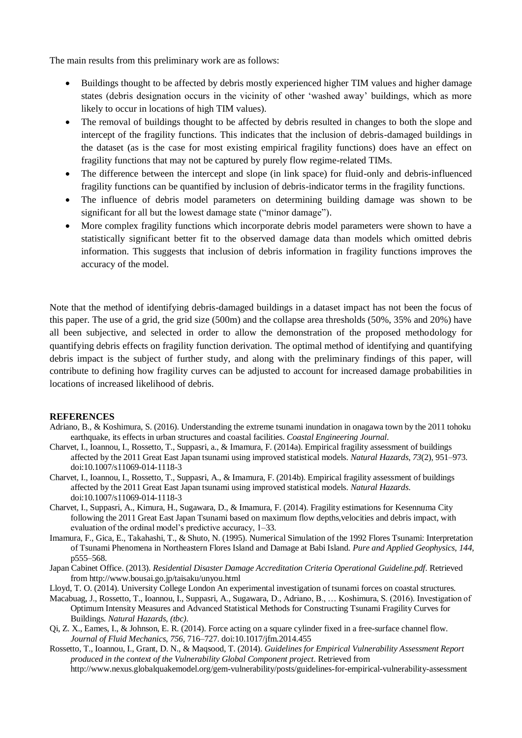The main results from this preliminary work are as follows:

- Buildings thought to be affected by debris mostly experienced higher TIM values and higher damage states (debris designation occurs in the vicinity of other 'washed away' buildings, which as more likely to occur in locations of high TIM values).
- The removal of buildings thought to be affected by debris resulted in changes to both the slope and intercept of the fragility functions. This indicates that the inclusion of debris-damaged buildings in the dataset (as is the case for most existing empirical fragility functions) does have an effect on fragility functions that may not be captured by purely flow regime-related TIMs.
- The difference between the intercept and slope (in link space) for fluid-only and debris-influenced fragility functions can be quantified by inclusion of debris-indicator terms in the fragility functions.
- The influence of debris model parameters on determining building damage was shown to be significant for all but the lowest damage state ("minor damage").
- More complex fragility functions which incorporate debris model parameters were shown to have a statistically significant better fit to the observed damage data than models which omitted debris information. This suggests that inclusion of debris information in fragility functions improves the accuracy of the model.

Note that the method of identifying debris-damaged buildings in a dataset impact has not been the focus of this paper. The use of a grid, the grid size (500m) and the collapse area thresholds (50%, 35% and 20%) have all been subjective, and selected in order to allow the demonstration of the proposed methodology for quantifying debris effects on fragility function derivation. The optimal method of identifying and quantifying debris impact is the subject of further study, and along with the preliminary findings of this paper, will contribute to defining how fragility curves can be adjusted to account for increased damage probabilities in locations of increased likelihood of debris.

#### **REFERENCES**

- Adriano, B., & Koshimura, S. (2016). Understanding the extreme tsunami inundation in onagawa town by the 2011 tohoku earthquake, its effects in urban structures and coastal facilities. *Coastal Engineering Journal*.
- Charvet, I., Ioannou, I., Rossetto, T., Suppasri, a., & Imamura, F. (2014a). Empirical fragility assessment of buildings affected by the 2011 Great East Japan tsunami using improved statistical models. *Natural Hazards*, *73*(2), 951–973. doi:10.1007/s11069-014-1118-3
- Charvet, I., Ioannou, I., Rossetto, T., Suppasri, A., & Imamura, F. (2014b). Empirical fragility assessment of buildings affected by the 2011 Great East Japan tsunami using improved statistical models. *Natural Hazards*. doi:10.1007/s11069-014-1118-3
- Charvet, I., Suppasri, A., Kimura, H., Sugawara, D., & Imamura, F. (2014). Fragility estimations for Kesennuma City following the 2011 Great East Japan Tsunami based on maximum flow depths, velocities and debris impact, with evaluation of the ordinal model's predictive accuracy, 1–33.
- Imamura, F., Gica, E., Takahashi, T., & Shuto, N. (1995). Numerical Simulation of the 1992 Flores Tsunami: Interpretation of Tsunami Phenomena in Northeastern Flores Island and Damage at Babi Island. *Pure and Applied Geophysics*, *144*, p555–568.
- Japan Cabinet Office. (2013). *Residential Disaster Damage Accreditation Criteria Operational Guideline.pdf*. Retrieved from http://www.bousai.go.jp/taisaku/unyou.html
- Lloyd, T. O. (2014). University College London An experimental investigation of tsunami forces on coastal structures.
- Macabuag, J., Rossetto, T., Ioannou, I., Suppasri, A., Sugawara, D., Adriano, B., … Koshimura, S. (2016). Investigation of Optimum Intensity Measures and Advanced Statistical Methods for Constructing Tsunami Fragility Curves for Buildings. *Natural Hazards*, *(tbc)*.
- Qi, Z. X., Eames, I., & Johnson, E. R. (2014). Force acting on a square cylinder fixed in a free-surface channel flow. *Journal of Fluid Mechanics*, *756*, 716–727. doi:10.1017/jfm.2014.455
- Rossetto, T., Ioannou, I., Grant, D. N., & Maqsood, T. (2014). *Guidelines for Empirical Vulnerability Assessment Report produced in the context of the Vulnerability Global Component project*. Retrieved from http://www.nexus.globalquakemodel.org/gem-vulnerability/posts/guidelines-for-empirical-vulnerability-assessment